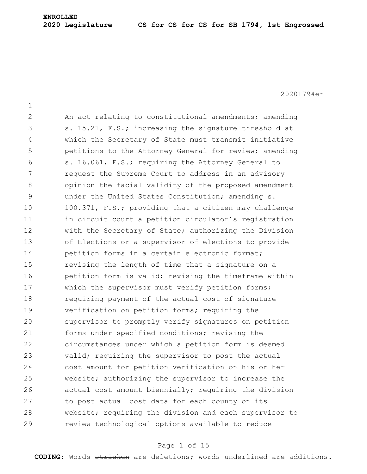#### **2020 Legislature CS for CS for CS for SB 1794, 1st Engrossed**

20201794er 1 2 An act relating to constitutional amendments; amending 3 s. 15.21, F.S.; increasing the signature threshold at 4 which the Secretary of State must transmit initiative 5 **b** petitions to the Attorney General for review; amending 6 s. 16.061, F.S.; requiring the Attorney General to 7 request the Supreme Court to address in an advisory 8 opinion the facial validity of the proposed amendment 9 and under the United States Constitution; amending s. 10 100.371, F.S.; providing that a citizen may challenge 11 in circuit court a petition circulator's registration 12 with the Secretary of State; authorizing the Division 13 of Elections or a supervisor of elections to provide 14 petition forms in a certain electronic format; 15 15 revising the length of time that a signature on a 16 **petition form is valid; revising the timeframe within** 17 Which the supervisor must verify petition forms; 18 requiring payment of the actual cost of signature 19 verification on petition forms; requiring the 20 supervisor to promptly verify signatures on petition 21 forms under specified conditions; revising the 22 circumstances under which a petition form is deemed 23 valid; requiring the supervisor to post the actual 24 cost amount for petition verification on his or her 25 website; authorizing the supervisor to increase the 26 actual cost amount biennially; requiring the division 27 to post actual cost data for each county on its 28 website; requiring the division and each supervisor to 29 review technological options available to reduce

#### Page 1 of 15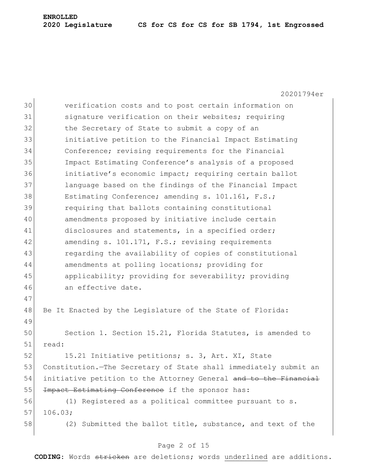#### **2020 Legislature CS for CS for CS for SB 1794, 1st Engrossed**

20201794er 30 verification costs and to post certain information on 31 Signature verification on their websites; requiring 32 the Secretary of State to submit a copy of an 33 initiative petition to the Financial Impact Estimating 34 Conference; revising requirements for the Financial 35 Impact Estimating Conference's analysis of a proposed 36 initiative's economic impact; requiring certain ballot 37 language based on the findings of the Financial Impact 38 Estimating Conference; amending s. 101.161, F.S.; 39 requiring that ballots containing constitutional 40 amendments proposed by initiative include certain 41 disclosures and statements, in a specified order; 42 amending s. 101.171, F.S.; revising requirements 43 regarding the availability of copies of constitutional 44 amendments at polling locations; providing for 45 applicability; providing for severability; providing 46 an effective date. 47 48 Be It Enacted by the Legislature of the State of Florida: 49 50 Section 1. Section 15.21, Florida Statutes, is amended to 51 read: 52 15.21 Initiative petitions; s. 3, Art. XI, State 53 Constitution.—The Secretary of State shall immediately submit an 54 initiative petition to the Attorney General and to the Financial 55 <del>Impact Estimating Conference</del> if the sponsor has: 56 (1) Registered as a political committee pursuant to s.  $57$  106.03; 58 (2) Submitted the ballot title, substance, and text of the

### Page 2 of 15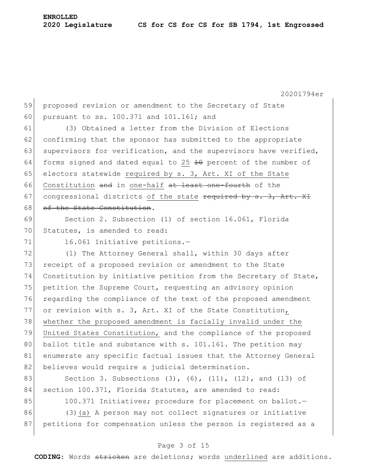20201794er

59 proposed revision or amendment to the Secretary of State 60 pursuant to ss. 100.371 and 101.161; and

61 (3) Obtained a letter from the Division of Elections  $62$  confirming that the sponsor has submitted to the appropriate 63 supervisors for verification, and the supervisors have verified, 64 forms signed and dated equal to 25  $\pm$ 0 percent of the number of 65 electors statewide required by  $s. 3$ , Art. XI of the State 66 Constitution and in one-half at least one-fourth of the 67 congressional districts of the state required by  $s. 3$ , Art. XI 68 of the State Constitution.

69 Section 2. Subsection (1) of section 16.061, Florida 70 Statutes, is amended to read:

71 16.061 Initiative petitions.

72 (1) The Attorney General shall, within 30 days after 73 receipt of a proposed revision or amendment to the State 74 Constitution by initiative petition from the Secretary of State, 75 petition the Supreme Court, requesting an advisory opinion 76 regarding the compliance of the text of the proposed amendment 77 or revision with s. 3, Art. XI of the State Constitution, 78 whether the proposed amendment is facially invalid under the 79 United States Constitution, and the compliance of the proposed 80 ballot title and substance with s. 101.161. The petition may 81 enumerate any specific factual issues that the Attorney General 82 believes would require a judicial determination.

83 Section 3. Subsections (3), (6), (11), (12), and (13) of 84 section 100.371, Florida Statutes, are amended to read: 85 100.371 Initiatives; procedure for placement on ballot.-

86 (3)(a) A person may not collect signatures or initiative 87 petitions for compensation unless the person is registered as a

### Page 3 of 15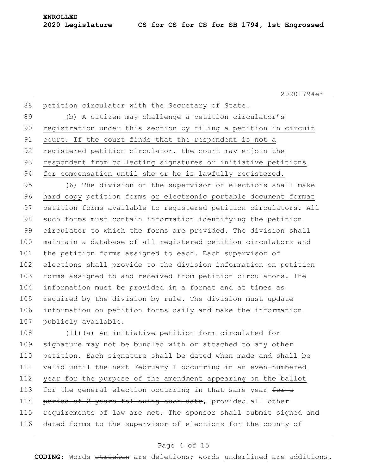88 petition circulator with the Secretary of State. 89 (b) A citizen may challenge a petition circulator's 90 registration under this section by filing a petition in circuit 91 court. If the court finds that the respondent is not a 92 registered petition circulator, the court may enjoin the 93 respondent from collecting signatures or initiative petitions 94 for compensation until she or he is lawfully registered.

95 (6) The division or the supervisor of elections shall make 96 hard copy petition forms or electronic portable document format 97 petition forms available to registered petition circulators. All 98 such forms must contain information identifying the petition 99 circulator to which the forms are provided. The division shall 100 maintain a database of all registered petition circulators and 101 the petition forms assigned to each. Each supervisor of 102 elections shall provide to the division information on petition 103 forms assigned to and received from petition circulators. The 104 information must be provided in a format and at times as 105 required by the division by rule. The division must update 106 information on petition forms daily and make the information 107 publicly available.

108 (11)(a) An initiative petition form circulated for 109 signature may not be bundled with or attached to any other 110 petition. Each signature shall be dated when made and shall be 111 valid until the next February 1 occurring in an even-numbered 112 year for the purpose of the amendment appearing on the ballot 113 for the general election occurring in that same year  $f^{\text{per}}$ 114 period of 2 years following such date, provided all other 115 requirements of law are met. The sponsor shall submit signed and 116 dated forms to the supervisor of elections for the county of

### Page 4 of 15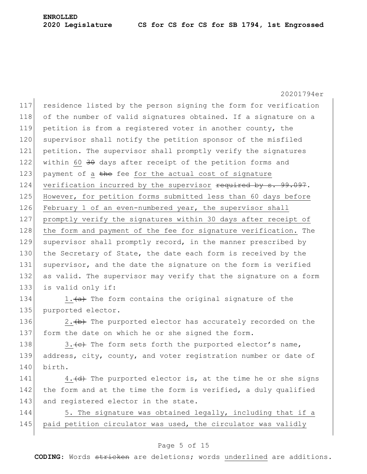20201794er 117 residence listed by the person signing the form for verification 118 of the number of valid signatures obtained. If a signature on a 119 petition is from a registered voter in another county, the 120 supervisor shall notify the petition sponsor of the misfiled 121 petition. The supervisor shall promptly verify the signatures 122 within 60  $30$  days after receipt of the petition forms and 123 payment of a  $t$ he fee for the actual cost of signature 124 verification incurred by the supervisor  $\frac{124}{1000}$  verification incurred by  $\frac{124}{1000}$ 125 However, for petition forms submitted less than 60 days before 126 February 1 of an even-numbered year, the supervisor shall 127 promptly verify the signatures within 30 days after receipt of 128 the form and payment of the fee for signature verification. The 129 supervisor shall promptly record, in the manner prescribed by 130 the Secretary of State, the date each form is received by the 131 supervisor, and the date the signature on the form is verified 132 as valid. The supervisor may verify that the signature on a form 133 is valid only if: 134 1. $\leftarrow$  1. $\leftarrow$  The form contains the original signature of the 135 purported elector. 136 2.  $\leftrightarrow$  The purported elector has accurately recorded on the

137 form the date on which he or she signed the form.

138 3.  $\leftarrow$  The form sets forth the purported elector's name, 139 address, city, county, and voter registration number or date of 140 birth.

141  $\vert$  4. (d) The purported elector is, at the time he or she signs 142 the form and at the time the form is verified, a duly qualified 143 and registered elector in the state.

144 5. The signature was obtained legally, including that if a 145 paid petition circulator was used, the circulator was validly

### Page 5 of 15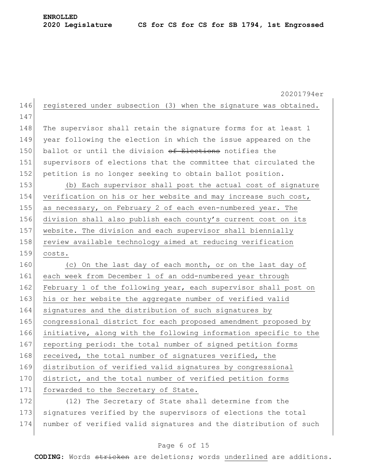20201794er 146 registered under subsection (3) when the signature was obtained. 147 148 The supervisor shall retain the signature forms for at least 1 149 year following the election in which the issue appeared on the 150 ballot or until the division of Elections notifies the 151 supervisors of elections that the committee that circulated the 152 petition is no longer seeking to obtain ballot position. 153 (b) Each supervisor shall post the actual cost of signature 154 verification on his or her website and may increase such cost, 155 as necessary, on February 2 of each even-numbered year. The 156 division shall also publish each county's current cost on its 157 | website. The division and each supervisor shall biennially 158 review available technology aimed at reducing verification 159 costs. 160 (c) On the last day of each month, or on the last day of 161 each week from December 1 of an odd-numbered year through 162 February 1 of the following year, each supervisor shall post on 163 his or her website the aggregate number of verified valid 164 signatures and the distribution of such signatures by 165 congressional district for each proposed amendment proposed by 166 initiative, along with the following information specific to the 167 reporting period: the total number of signed petition forms 168 received, the total number of signatures verified, the 169 distribution of verified valid signatures by congressional 170 district, and the total number of verified petition forms 171 forwarded to the Secretary of State. 172 (12) The Secretary of State shall determine from the 173 signatures verified by the supervisors of elections the total

### Page 6 of 15

174 number of verified valid signatures and the distribution of such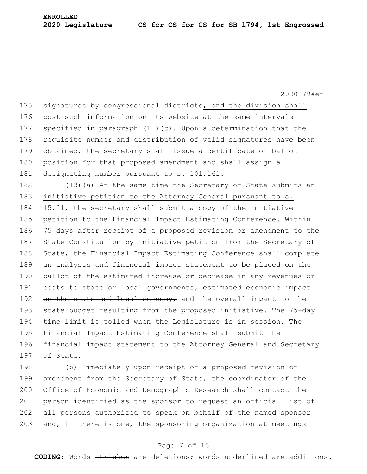175 signatures by congressional districts, and the division shall 176 post such information on its website at the same intervals 177 specified in paragraph (11)(c). Upon a determination that the 178 requisite number and distribution of valid signatures have been 179 obtained, the secretary shall issue a certificate of ballot 180 position for that proposed amendment and shall assign a 181 designating number pursuant to s. 101.161.

182 (13)(a) At the same time the Secretary of State submits an 183 initiative petition to the Attorney General pursuant to s. 184 15.21, the secretary shall submit a copy of the initiative 185 petition to the Financial Impact Estimating Conference. Within 186 75 days after receipt of a proposed revision or amendment to the 187 State Constitution by initiative petition from the Secretary of 188 State, the Financial Impact Estimating Conference shall complete 189 an analysis and financial impact statement to be placed on the 190 ballot of the estimated increase or decrease in any revenues or 191 costs to state or local governments, estimated economic impact 192 on the state and local economy, and the overall impact to the 193 state budget resulting from the proposed initiative. The 75-day 194 time limit is tolled when the Legislature is in session. The 195 Financial Impact Estimating Conference shall submit the 196 financial impact statement to the Attorney General and Secretary 197 of State.

198 (b) Immediately upon receipt of a proposed revision or 199 amendment from the Secretary of State, the coordinator of the 200 Office of Economic and Demographic Research shall contact the 201 person identified as the sponsor to request an official list of 202 all persons authorized to speak on behalf of the named sponsor 203 and, if there is one, the sponsoring organization at meetings

#### Page 7 of 15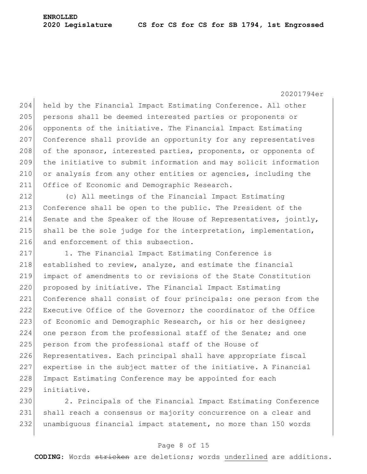204 held by the Financial Impact Estimating Conference. All other 205 persons shall be deemed interested parties or proponents or 206 opponents of the initiative. The Financial Impact Estimating 207 Conference shall provide an opportunity for any representatives 208 of the sponsor, interested parties, proponents, or opponents of 209 the initiative to submit information and may solicit information 210 or analysis from any other entities or agencies, including the 211 Office of Economic and Demographic Research.

212 (c) All meetings of the Financial Impact Estimating 213 Conference shall be open to the public. The President of the 214 Senate and the Speaker of the House of Representatives, jointly, 215 shall be the sole judge for the interpretation, implementation, 216 and enforcement of this subsection.

217 1. The Financial Impact Estimating Conference is  $218$  established to review, analyze, and estimate the financial 219 impact of amendments to or revisions of the State Constitution 220 proposed by initiative. The Financial Impact Estimating 221 Conference shall consist of four principals: one person from the 222 Executive Office of the Governor; the coordinator of the Office 223 of Economic and Demographic Research, or his or her designee; 224 one person from the professional staff of the Senate; and one 225 person from the professional staff of the House of 226 Representatives. Each principal shall have appropriate fiscal 227 expertise in the subject matter of the initiative. A Financial 228 Impact Estimating Conference may be appointed for each 229 initiative.

230 2. Principals of the Financial Impact Estimating Conference 231 shall reach a consensus or majority concurrence on a clear and 232 unambiguous financial impact statement, no more than 150 words

#### Page 8 of 15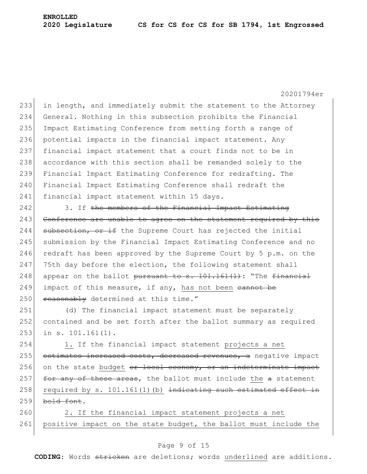in length, and immediately submit the statement to the Attorney General. Nothing in this subsection prohibits the Financial 235 Impact Estimating Conference from setting forth a range of 236 potential impacts in the financial impact statement. Any financial impact statement that a court finds not to be in accordance with this section shall be remanded solely to the Financial Impact Estimating Conference for redrafting. The Financial Impact Estimating Conference shall redraft the 241 financial impact statement within 15 days.

242 3. If the members of the Financial Impact Estimating 243 Conference are unable to agree on the statement required by this  $244$  subsection, or if the Supreme Court has rejected the initial 245 submission by the Financial Impact Estimating Conference and no 246 redraft has been approved by the Supreme Court by 5 p.m. on the  $247$  75th day before the election, the following statement shall 248 appear on the ballot pursuant to  $s. 101.161(1)$ : "The financial 249 impact of this measure, if any, has not been  $\frac{1}{2}$  $250$  reasonably determined at this time."

251 (d) The financial impact statement must be separately 252 contained and be set forth after the ballot summary as required 253 in s. 101.161(1).

254 1. If the financial impact statement projects a net 255 estimates increased costs, decreased revenues, a negative impact 256 on the state budget  $e^{i\theta}$  and  $e^{i\theta}$  or an indeterminate impact 257 for any of these areas, the ballot must include the  $a$  statement 258 required by s.  $101.161(1)$  (b) indicating such estimated effect in  $259$  bold font.

260 2. If the financial impact statement projects a net 261 positive impact on the state budget, the ballot must include the

### Page 9 of 15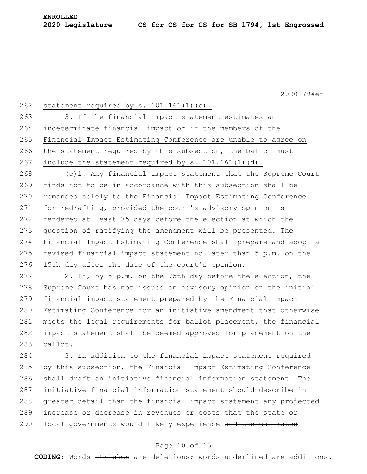262 statement required by s.  $101.161(1)(c)$ .

263 3. If the financial impact statement estimates an 264 indeterminate financial impact or if the members of the 265 Financial Impact Estimating Conference are unable to agree on 266 the statement required by this subsection, the ballot must 267 include the statement required by s.  $101.161(1)(d)$ .

268 (e)1. Any financial impact statement that the Supreme Court 269 finds not to be in accordance with this subsection shall be 270 remanded solely to the Financial Impact Estimating Conference 271 for redrafting, provided the court's advisory opinion is 272 rendered at least 75 days before the election at which the 273 question of ratifying the amendment will be presented. The 274 Financial Impact Estimating Conference shall prepare and adopt a  $275$  revised financial impact statement no later than 5 p.m. on the 276 15th day after the date of the court's opinion.

 $277$  2. If, by 5 p.m. on the 75th day before the election, the 278 Supreme Court has not issued an advisory opinion on the initial 279 financial impact statement prepared by the Financial Impact 280 Estimating Conference for an initiative amendment that otherwise 281 meets the legal requirements for ballot placement, the financial 282 impact statement shall be deemed approved for placement on the 283 ballot.

284 3. In addition to the financial impact statement required by this subsection, the Financial Impact Estimating Conference shall draft an initiative financial information statement. The initiative financial information statement should describe in greater detail than the financial impact statement any projected increase or decrease in revenues or costs that the state or 290 local governments would likely experience and the estimated

#### Page 10 of 15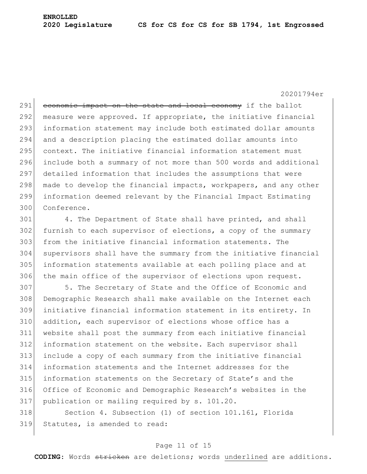291 economic impact on the state and local economy if the ballot 292 measure were approved. If appropriate, the initiative financial 293 information statement may include both estimated dollar amounts 294 and a description placing the estimated dollar amounts into 295 context. The initiative financial information statement must 296 include both a summary of not more than 500 words and additional 297 detailed information that includes the assumptions that were 298 made to develop the financial impacts, workpapers, and any other 299 information deemed relevant by the Financial Impact Estimating 300 Conference.

301 4. The Department of State shall have printed, and shall furnish to each supervisor of elections, a copy of the summary from the initiative financial information statements. The supervisors shall have the summary from the initiative financial information statements available at each polling place and at 306 the main office of the supervisor of elections upon request.

307 5. The Secretary of State and the Office of Economic and Demographic Research shall make available on the Internet each initiative financial information statement in its entirety. In addition, each supervisor of elections whose office has a website shall post the summary from each initiative financial information statement on the website. Each supervisor shall include a copy of each summary from the initiative financial information statements and the Internet addresses for the information statements on the Secretary of State's and the Office of Economic and Demographic Research's websites in the publication or mailing required by s. 101.20.

318 Section 4. Subsection (1) of section 101.161, Florida 319 Statutes, is amended to read:

#### Page 11 of 15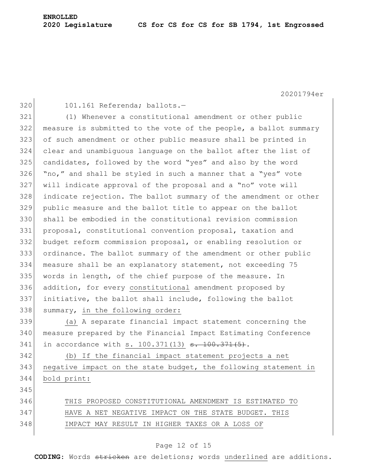320 101.161 Referenda; ballots.-

 (1) Whenever a constitutional amendment or other public 322 measure is submitted to the vote of the people, a ballot summary of such amendment or other public measure shall be printed in clear and unambiguous language on the ballot after the list of candidates, followed by the word "yes" and also by the word "no," and shall be styled in such a manner that a "yes" vote will indicate approval of the proposal and a "no" vote will indicate rejection. The ballot summary of the amendment or other public measure and the ballot title to appear on the ballot shall be embodied in the constitutional revision commission proposal, constitutional convention proposal, taxation and budget reform commission proposal, or enabling resolution or ordinance. The ballot summary of the amendment or other public measure shall be an explanatory statement, not exceeding 75 335 words in length, of the chief purpose of the measure. In addition, for every constitutional amendment proposed by initiative, the ballot shall include, following the ballot 338 summary, in the following order:

 (a) A separate financial impact statement concerning the measure prepared by the Financial Impact Estimating Conference 341 in accordance with s.  $100.371(13)$  s.  $100.371(5)$ .

 (b) If the financial impact statement projects a net negative impact on the state budget, the following statement in bold print:

 THIS PROPOSED CONSTITUTIONAL AMENDMENT IS ESTIMATED TO 347 HAVE A NET NEGATIVE IMPACT ON THE STATE BUDGET. THIS IMPACT MAY RESULT IN HIGHER TAXES OR A LOSS OF

#### Page 12 of 15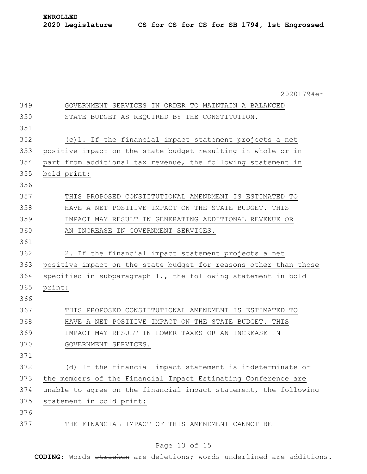20201794er GOVERNMENT SERVICES IN ORDER TO MAINTAIN A BALANCED STATE BUDGET AS REQUIRED BY THE CONSTITUTION. (c)1. If the financial impact statement projects a net positive impact on the state budget resulting in whole or in 354 part from additional tax revenue, the following statement in bold print: THIS PROPOSED CONSTITUTIONAL AMENDMENT IS ESTIMATED TO HAVE A NET POSITIVE IMPACT ON THE STATE BUDGET. THIS IMPACT MAY RESULT IN GENERATING ADDITIONAL REVENUE OR 360 AN INCREASE IN GOVERNMENT SERVICES. 362 2. If the financial impact statement projects a net positive impact on the state budget for reasons other than those specified in subparagraph 1., the following statement in bold print: THIS PROPOSED CONSTITUTIONAL AMENDMENT IS ESTIMATED TO HAVE A NET POSITIVE IMPACT ON THE STATE BUDGET. THIS IMPACT MAY RESULT IN LOWER TAXES OR AN INCREASE IN 370 GOVERNMENT SERVICES. (d) If the financial impact statement is indeterminate or the members of the Financial Impact Estimating Conference are 374 unable to agree on the financial impact statement, the following 375 statement in bold print: THE FINANCIAL IMPACT OF THIS AMENDMENT CANNOT BE

#### Page 13 of 15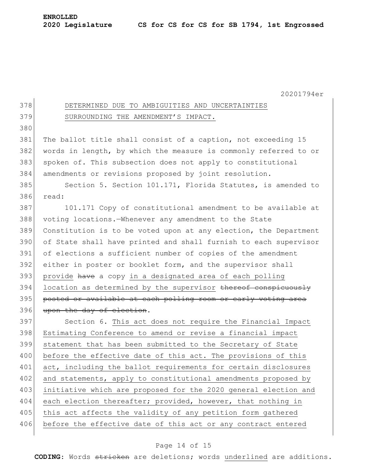| 378 | DETERMINED DUE TO AMBIGUITIES AND UNCERTAINTIES                  |
|-----|------------------------------------------------------------------|
| 379 | SURROUNDING THE AMENDMENT'S IMPACT.                              |
| 380 |                                                                  |
| 381 | The ballot title shall consist of a caption, not exceeding 15    |
| 382 | words in length, by which the measure is commonly referred to or |
| 383 | spoken of. This subsection does not apply to constitutional      |
| 384 | amendments or revisions proposed by joint resolution.            |
| 385 | Section 5. Section 101.171, Florida Statutes, is amended to      |
| 386 | read:                                                            |
| 387 | 101.171 Copy of constitutional amendment to be available at      |
| 388 | voting locations. - Whenever any amendment to the State          |
| 389 | Constitution is to be voted upon at any election, the Department |
| 390 | of State shall have printed and shall furnish to each supervisor |
| 391 | of elections a sufficient number of copies of the amendment      |
| 392 | either in poster or booklet form, and the supervisor shall       |
| 393 | provide have a copy in a designated area of each polling         |
| 394 | location as determined by the supervisor thereof conspicuously   |
| 395 | posted or available at each polling room or early voting area    |
| 396 | upon the day of election.                                        |
| 397 | Section 6. This act does not require the Financial Impact        |
| 398 | Estimating Conference to amend or revise a financial impact      |
| 399 | statement that has been submitted to the Secretary of State      |
| 400 | before the effective date of this act. The provisions of this    |
| 401 | act, including the ballot requirements for certain disclosures   |
| 402 | and statements, apply to constitutional amendments proposed by   |
| 403 | initiative which are proposed for the 2020 general election and  |
| 404 | each election thereafter; provided, however, that nothing in     |
| 405 | this act affects the validity of any petition form gathered      |
| 406 | before the effective date of this act or any contract entered    |
|     |                                                                  |

# Page 14 of 15